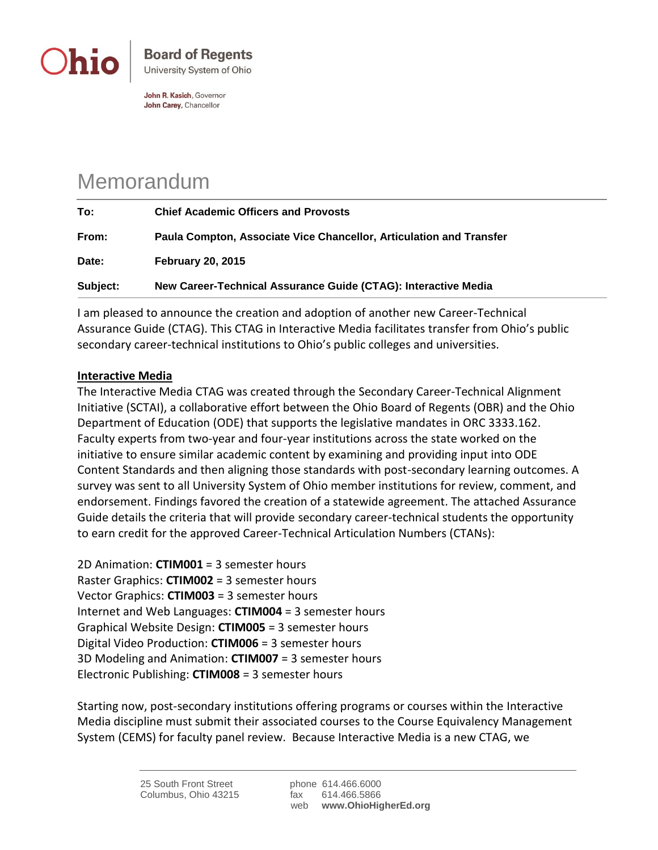

John R. Kasich, Governor John Carey, Chancellor

## Memorandum

| To:      | <b>Chief Academic Officers and Provosts</b>                         |
|----------|---------------------------------------------------------------------|
| From:    | Paula Compton, Associate Vice Chancellor, Articulation and Transfer |
| Date:    | <b>February 20, 2015</b>                                            |
| Subject: | New Career-Technical Assurance Guide (CTAG): Interactive Media      |

I am pleased to announce the creation and adoption of another new Career-Technical Assurance Guide (CTAG). This CTAG in Interactive Media facilitates transfer from Ohio's public secondary career-technical institutions to Ohio's public colleges and universities.

## **Interactive Media**

The Interactive Media CTAG was created through the Secondary Career-Technical Alignment Initiative (SCTAI), a collaborative effort between the Ohio Board of Regents (OBR) and the Ohio Department of Education (ODE) that supports the legislative mandates in ORC 3333.162. Faculty experts from two-year and four-year institutions across the state worked on the initiative to ensure similar academic content by examining and providing input into ODE Content Standards and then aligning those standards with post-secondary learning outcomes. A survey was sent to all University System of Ohio member institutions for review, comment, and endorsement. Findings favored the creation of a statewide agreement. The attached Assurance Guide details the criteria that will provide secondary career-technical students the opportunity to earn credit for the approved Career-Technical Articulation Numbers (CTANs):

2D Animation: **CTIM001** = 3 semester hours Raster Graphics: **CTIM002** = 3 semester hours Vector Graphics: **CTIM003** = 3 semester hours Internet and Web Languages: **CTIM004** = 3 semester hours Graphical Website Design: **CTIM005** = 3 semester hours Digital Video Production: **CTIM006** = 3 semester hours 3D Modeling and Animation: **CTIM007** = 3 semester hours Electronic Publishing: **CTIM008** = 3 semester hours

Starting now, post-secondary institutions offering programs or courses within the Interactive Media discipline must submit their associated courses to the Course Equivalency Management System (CEMS) for faculty panel review. Because Interactive Media is a new CTAG, we